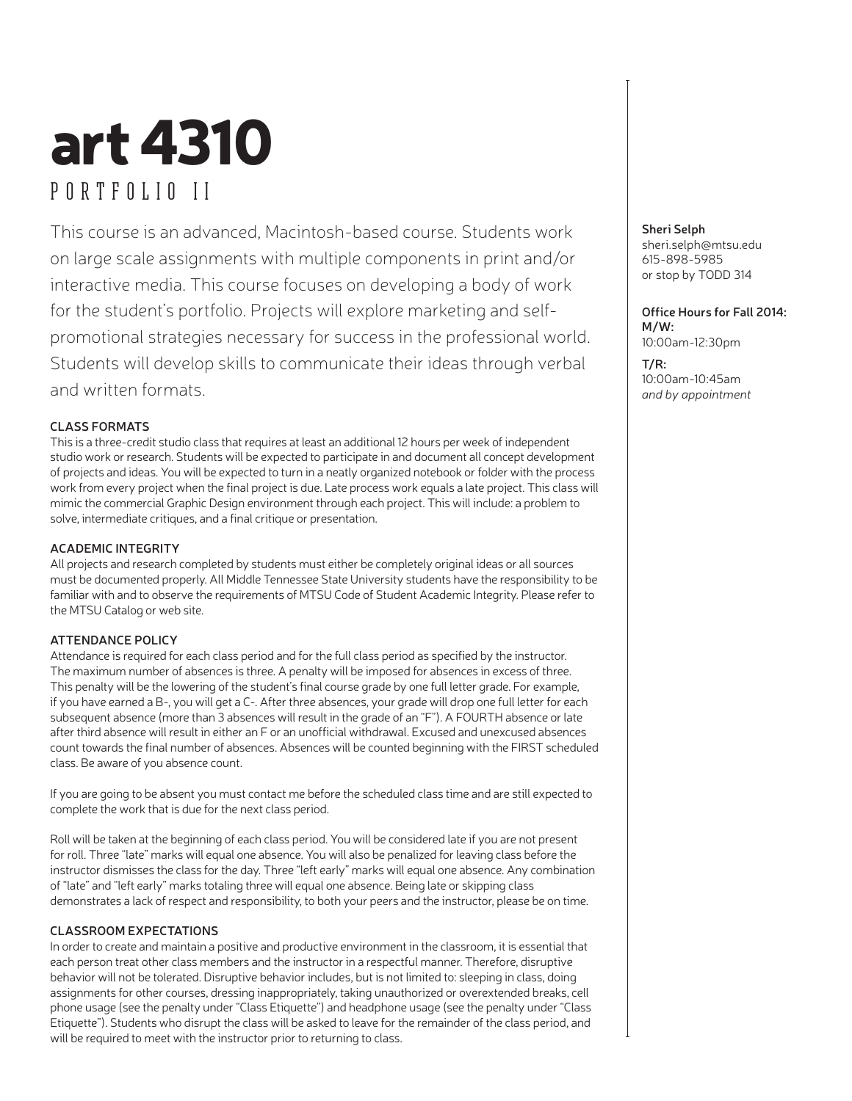# art 4310 PORTFOLIO II

This course is an advanced, Macintosh-based course. Students work on large scale assignments with multiple components in print and/or interactive media. This course focuses on developing a body of work for the student's portfolio. Projects will explore marketing and selfpromotional strategies necessary for success in the professional world. Students will develop skills to communicate their ideas through verbal and written formats.

#### **CLASS FORMATS**

This is a three-credit studio class that requires at least an additional 12 hours per week of independent studio work or research. Students will be expected to participate in and document all concept development of projects and ideas. You will be expected to turn in a neatly organized notebook or folder with the process work from every project when the final project is due. Late process work equals a late project. This class will mimic the commercial Graphic Design environment through each project. This will include: a problem to solve, intermediate critiques, and a final critique or presentation.

#### **ACADEMIC INTEGRITY**

All projects and research completed by students must either be completely original ideas or all sources must be documented properly. All Middle Tennessee State University students have the responsibility to be familiar with and to observe the requirements of MTSU Code of Student Academic Integrity. Please refer to the MTSU Catalog or web site.

#### **ATTENDANCE POLICY**

Attendance is required for each class period and for the full class period as specified by the instructor. The maximum number of absences is three. A penalty will be imposed for absences in excess of three. This penalty will be the lowering of the student's final course grade by one full letter grade. For example, if you have earned a B-, you will get a C-. After three absences, your grade will drop one full letter for each subsequent absence (more than 3 absences will result in the grade of an "F"). A FOURTH absence or late after third absence will result in either an F or an unofficial withdrawal. Excused and unexcused absences count towards the final number of absences. Absences will be counted beginning with the FIRST scheduled class. Be aware of you absence count.

If you are going to be absent you must contact me before the scheduled class time and are still expected to complete the work that is due for the next class period.

Roll will be taken at the beginning of each class period. You will be considered late if you are not present for roll. Three "late" marks will equal one absence. You will also be penalized for leaving class before the instructor dismisses the class for the day. Three "left early" marks will equal one absence. Any combination of "late" and "left early" marks totaling three will equal one absence. Being late or skipping class demonstrates a lack of respect and responsibility, to both your peers and the instructor, please be on time.

#### **CLASSROOM EXPECTATIONS**

In order to create and maintain a positive and productive environment in the classroom, it is essential that each person treat other class members and the instructor in a respectful manner. Therefore, disruptive behavior will not be tolerated. Disruptive behavior includes, but is not limited to: sleeping in class, doing assignments for other courses, dressing inappropriately, taking unauthorized or overextended breaks, cell phone usage (see the penalty under "Class Etiquette") and headphone usage (see the penalty under "Class Etiquette"). Students who disrupt the class will be asked to leave for the remainder of the class period, and will be required to meet with the instructor prior to returning to class.

**Sheri Selph** sheri.selph@mtsu.edu 615-898-5985 or stop by TODD 314

**Office Hours for Fall 2014: M/W:** 10:00am-12:30pm

**T/R:** 10:00am-10:45am *and by appointment*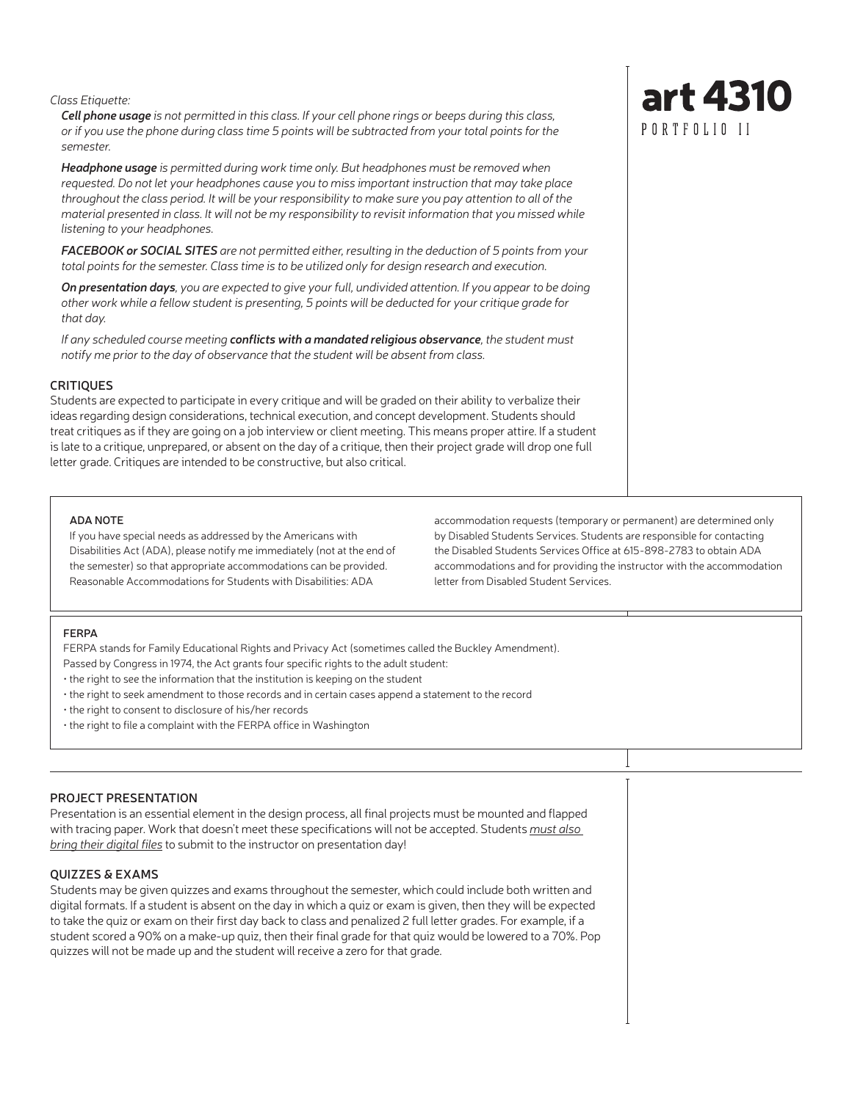*Class Etiquette:*

*Cell phone usage is not permitted in this class. If your cell phone rings or beeps during this class, or if you use the phone during class time 5 points will be subtracted from your total points for the semester.*

*Headphone usage is permitted during work time only. But headphones must be removed when requested. Do not let your headphones cause you to miss important instruction that may take place throughout the class period. It will be your responsibility to make sure you pay attention to all of the material presented in class. It will not be my responsibility to revisit information that you missed while listening to your headphones.* 

*FACEBOOK or SOCIAL SITES are not permitted either, resulting in the deduction of 5 points from your total points for the semester. Class time is to be utilized only for design research and execution.*

*On presentation days, you are expected to give your full, undivided attention. If you appear to be doing other work while a fellow student is presenting, 5 points will be deducted for your critique grade for that day.*

*If any scheduled course meeting conflicts with a mandated religious observance, the student must notify me prior to the day of observance that the student will be absent from class.*

#### **CRITIQUES**

Students are expected to participate in every critique and will be graded on their ability to verbalize their ideas regarding design considerations, technical execution, and concept development. Students should treat critiques as if they are going on a job interview or client meeting. This means proper attire. If a student is late to a critique, unprepared, or absent on the day of a critique, then their project grade will drop one full letter grade. Critiques are intended to be constructive, but also critical.

#### **ADA NOTE**

If you have special needs as addressed by the Americans with Disabilities Act (ADA), please notify me immediately (not at the end of the semester) so that appropriate accommodations can be provided. Reasonable Accommodations for Students with Disabilities: ADA

accommodation requests (temporary or permanent) are determined only by Disabled Students Services. Students are responsible for contacting the Disabled Students Services Office at 615-898-2783 to obtain ADA accommodations and for providing the instructor with the accommodation letter from Disabled Student Services.

#### **FERPA**

FERPA stands for Family Educational Rights and Privacy Act (sometimes called the Buckley Amendment).

- Passed by Congress in 1974, the Act grants four specific rights to the adult student:
- the right to see the information that the institution is keeping on the student
- the right to seek amendment to those records and in certain cases append a statement to the record
- the right to consent to disclosure of his/her records
- the right to file a complaint with the FERPA office in Washington

#### **PROJECT PRESENTATION**

Presentation is an essential element in the design process, all final projects must be mounted and flapped with tracing paper. Work that doesn't meet these specifications will not be accepted. Students *must also bring their digital files* to submit to the instructor on presentation day!

#### **QUIZZES & EXAMS**

Students may be given quizzes and exams throughout the semester, which could include both written and digital formats. If a student is absent on the day in which a quiz or exam is given, then they will be expected to take the quiz or exam on their first day back to class and penalized 2 full letter grades. For example, if a student scored a 90% on a make-up quiz, then their final grade for that quiz would be lowered to a 70%. Pop quizzes will not be made up and the student will receive a zero for that grade.

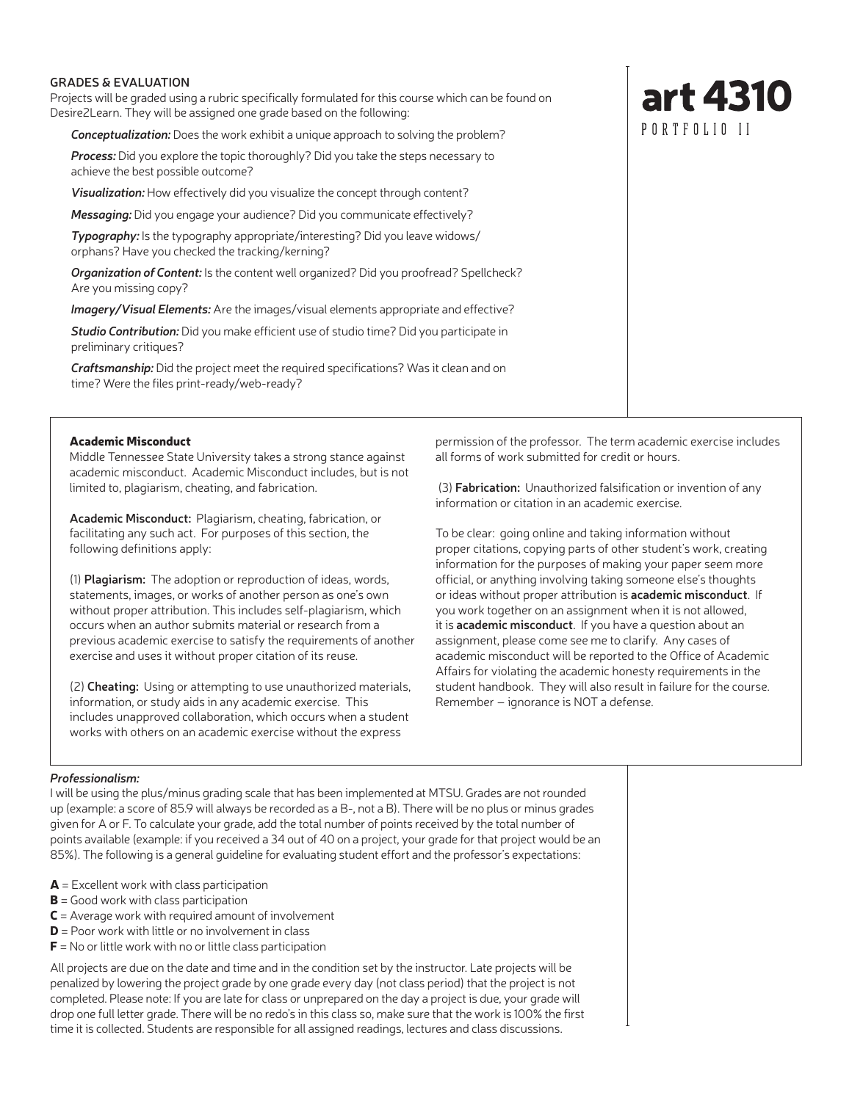#### **GRADES & EVALUATION**

Projects will be graded using a rubric specifically formulated for this course which can be found on Desire2Learn. They will be assigned one grade based on the following:

*Conceptualization:* Does the work exhibit a unique approach to solving the problem?

*Process:* Did you explore the topic thoroughly? Did you take the steps necessary to achieve the best possible outcome?

*Visualization:* How effectively did you visualize the concept through content?

*Messaging:* Did you engage your audience? Did you communicate effectively?

*Typography:* Is the typography appropriate/interesting? Did you leave widows/ orphans? Have you checked the tracking/kerning?

*Organization of Content:* Is the content well organized? Did you proofread? Spellcheck? Are you missing copy?

*Imagery/Visual Elements:* Are the images/visual elements appropriate and effective?

*Studio Contribution:* Did you make efficient use of studio time? Did you participate in preliminary critiques?

*Craftsmanship:* Did the project meet the required specifications? Was it clean and on time? Were the files print-ready/web-ready?

#### Academic Misconduct

Middle Tennessee State University takes a strong stance against academic misconduct. Academic Misconduct includes, but is not limited to, plagiarism, cheating, and fabrication.

**Academic Misconduct:** Plagiarism, cheating, fabrication, or facilitating any such act. For purposes of this section, the following definitions apply:

(1) **Plagiarism:** The adoption or reproduction of ideas, words, statements, images, or works of another person as one's own without proper attribution. This includes self-plagiarism, which occurs when an author submits material or research from a previous academic exercise to satisfy the requirements of another exercise and uses it without proper citation of its reuse.

(2) **Cheating:** Using or attempting to use unauthorized materials, information, or study aids in any academic exercise. This includes unapproved collaboration, which occurs when a student works with others on an academic exercise without the express

permission of the professor. The term academic exercise includes all forms of work submitted for credit or hours.

 (3) **Fabrication:** Unauthorized falsification or invention of any information or citation in an academic exercise.

To be clear: going online and taking information without proper citations, copying parts of other student's work, creating information for the purposes of making your paper seem more official, or anything involving taking someone else's thoughts or ideas without proper attribution is **academic misconduct**. If you work together on an assignment when it is not allowed, it is **academic misconduct**. If you have a question about an assignment, please come see me to clarify. Any cases of academic misconduct will be reported to the Office of Academic Affairs for violating the academic honesty requirements in the student handbook. They will also result in failure for the course. Remember – ignorance is NOT a defense.

#### *Professionalism:*

I will be using the plus/minus grading scale that has been implemented at MTSU. Grades are not rounded up (example: a score of 85.9 will always be recorded as a B-, not a B). There will be no plus or minus grades given for A or F. To calculate your grade, add the total number of points received by the total number of points available (example: if you received a 34 out of 40 on a project, your grade for that project would be an 85%). The following is a general guideline for evaluating student effort and the professor's expectations:

- $A =$  Excellent work with class participation
- $B =$  Good work with class participation
- $C =$  Average work with required amount of involvement
- $D =$  Poor work with little or no involvement in class
- $F =$  No or little work with no or little class participation

All projects are due on the date and time and in the condition set by the instructor. Late projects will be penalized by lowering the project grade by one grade every day (not class period) that the project is not completed. Please note: If you are late for class or unprepared on the day a project is due, your grade will drop one full letter grade. There will be no redo's in this class so, make sure that the work is 100% the first time it is collected. Students are responsible for all assigned readings, lectures and class discussions.

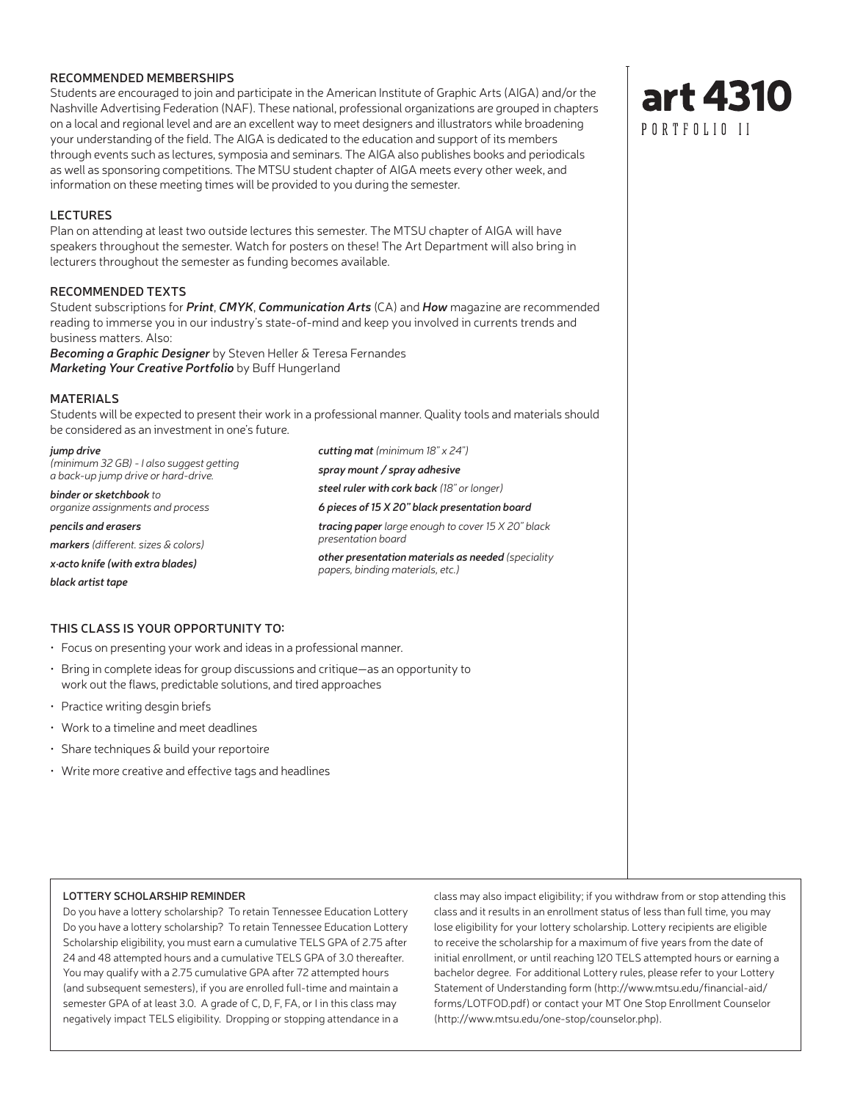#### **RECOMMENDED MEMBERSHIPS**

Students are encouraged to join and participate in the American Institute of Graphic Arts (AIGA) and/or the Nashville Advertising Federation (NAF). These national, professional organizations are grouped in chapters on a local and regional level and are an excellent way to meet designers and illustrators while broadening your understanding of the field. The AIGA is dedicated to the education and support of its members through events such as lectures, symposia and seminars. The AIGA also publishes books and periodicals as well as sponsoring competitions. The MTSU student chapter of AIGA meets every other week, and information on these meeting times will be provided to you during the semester.

#### **LECTURES**

Plan on attending at least two outside lectures this semester. The MTSU chapter of AIGA will have speakers throughout the semester. Watch for posters on these! The Art Department will also bring in lecturers throughout the semester as funding becomes available.

#### **RECOMMENDED TEXTS**

Student subscriptions for *Print*, *CMYK*, *Communication Arts* (CA) and *How* magazine are recommended reading to immerse you in our industry's state-of-mind and keep you involved in currents trends and business matters. Also:

*Becoming a Graphic Designer* by Steven Heller & Teresa Fernandes *Marketing Your Creative Portfolio* by Buff Hungerland

#### **MATERIALS**

Students will be expected to present their work in a professional manner. Quality tools and materials should be considered as an investment in one's future.

*jump drive (minimum 32 GB) - I also suggest getting a back-up jump drive or hard-drive.*

*binder or sketchbook to organize assignments and process*

*pencils and erasers markers (different. sizes & colors) x·acto knife (with extra blades) black artist tape*

**THIS CLASS IS YOUR OPPORTUNITY TO:**

- Focus on presenting your work and ideas in a professional manner.
- Bring in complete ideas for group discussions and critique—as an opportunity to work out the flaws, predictable solutions, and tired approaches
- Practice writing desgin briefs
- Work to a timeline and meet deadlines
- Share techniques & build your reportoire
- Write more creative and effective tags and headlines

#### **LOTTERY SCHOLARSHIP REMINDER**

Do you have a lottery scholarship? To retain Tennessee Education Lottery Do you have a lottery scholarship? To retain Tennessee Education Lottery Scholarship eligibility, you must earn a cumulative TELS GPA of 2.75 after 24 and 48 attempted hours and a cumulative TELS GPA of 3.0 thereafter. You may qualify with a 2.75 cumulative GPA after 72 attempted hours (and subsequent semesters), if you are enrolled full-time and maintain a semester GPA of at least 3.0. A grade of C, D, F, FA, or I in this class may negatively impact TELS eligibility. Dropping or stopping attendance in a

class may also impact eligibility; if you withdraw from or stop attending this class and it results in an enrollment status of less than full time, you may lose eligibility for your lottery scholarship. Lottery recipients are eligible to receive the scholarship for a maximum of five years from the date of initial enrollment, or until reaching 120 TELS attempted hours or earning a bachelor degree. For additional Lottery rules, please refer to your Lottery Statement of Understanding form (http://www.mtsu.edu/financial-aid/ forms/LOTFOD.pdf) or contact your MT One Stop Enrollment Counselor (http://www.mtsu.edu/one-stop/counselor.php).



*cutting mat (minimum 18" x 24") spray mount / spray adhesive steel ruler with cork back (18" or longer) 6 pieces of 15 X 20" black presentation board tracing paper large enough to cover 15 X 20" black presentation board other presentation materials as needed (speciality papers, binding materials, etc.)*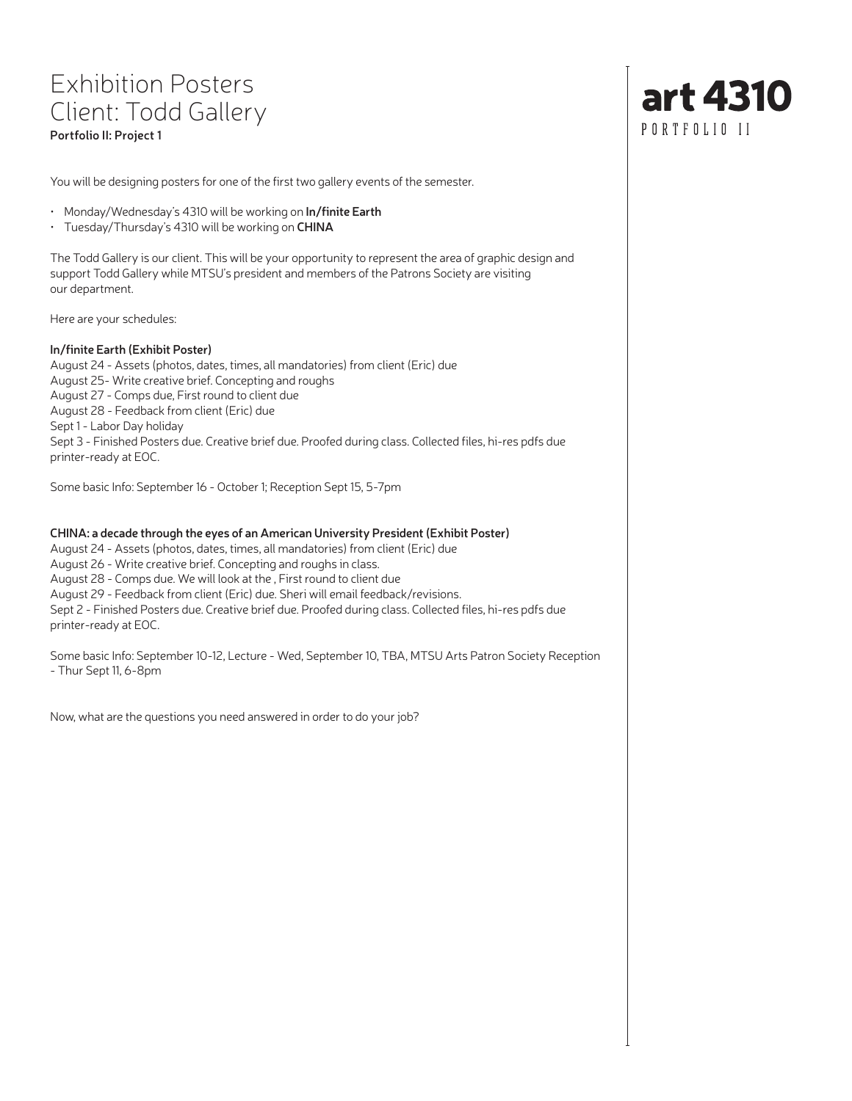## Exhibition Posters Client: Todd Gallery **Portfolio II: Project 1**

You will be designing posters for one of the first two gallery events of the semester.

- Monday/Wednesday's 4310 will be working on **In/finite Earth**
- Tuesday/Thursday's 4310 will be working on **CHINA**

The Todd Gallery is our client. This will be your opportunity to represent the area of graphic design and support Todd Gallery while MTSU's president and members of the Patrons Society are visiting our department.

Here are your schedules:

#### **In/finite Earth (Exhibit Poster)**

August 24 - Assets (photos, dates, times, all mandatories) from client (Eric) due August 25- Write creative brief. Concepting and roughs August 27 - Comps due, First round to client due August 28 - Feedback from client (Eric) due Sept 1 - Labor Day holiday Sept 3 - Finished Posters due. Creative brief due. Proofed during class. Collected files, hi-res pdfs due printer-ready at EOC.

Some basic Info: September 16 - October 1; Reception Sept 15, 5-7pm

#### **CHINA: a decade through the eyes of an American University President (Exhibit Poster)**

August 24 - Assets (photos, dates, times, all mandatories) from client (Eric) due

August 26 - Write creative brief. Concepting and roughs in class.

August 28 - Comps due. We will look at the , First round to client due

August 29 - Feedback from client (Eric) due. Sheri will email feedback/revisions.

Sept 2 - Finished Posters due. Creative brief due. Proofed during class. Collected files, hi-res pdfs due printer-ready at EOC.

Some basic Info: September 10-12, Lecture - Wed, September 10, TBA, MTSU Arts Patron Society Reception - Thur Sept 11, 6-8pm

Now, what are the questions you need answered in order to do your job?

# art 4310 PORTFOLIO II